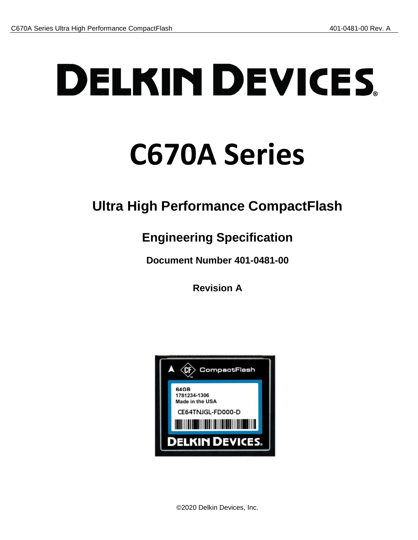# **DELKIN DEVICES**

# **C670A Series**

# **Ultra High Performance CompactFlash**

# **Engineering Specification**

**Document Number 401-0481-00**

**Revision A**

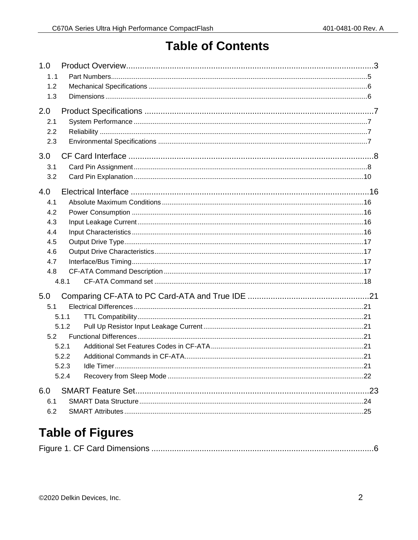## **Table of Contents**

| 1.0        |                |  |
|------------|----------------|--|
| 1.1<br>1.2 |                |  |
| 1.3        |                |  |
|            |                |  |
| 2.0        |                |  |
| 2.1        |                |  |
| 2.2        |                |  |
| 2.3        |                |  |
| 3.0        |                |  |
| 3.1        |                |  |
| 3.2        |                |  |
| 4.0        |                |  |
| 4.1        |                |  |
| 4.2        |                |  |
| 4.3        |                |  |
| 4.4        |                |  |
| 4.5        |                |  |
| 4.6        |                |  |
| 4.7        |                |  |
| 4.8        |                |  |
|            | 4.8.1          |  |
| 5.0        |                |  |
| 5.1        |                |  |
|            | 5.1.1          |  |
|            | 5.1.2          |  |
| 5.2        |                |  |
|            | 5.2.1          |  |
|            | 5.2.2<br>5.2.3 |  |
|            | 5.2.4          |  |
|            |                |  |
| 6.0        |                |  |
| 6.1        |                |  |
| 6.2        |                |  |

# **Table of Figures**

|--|--|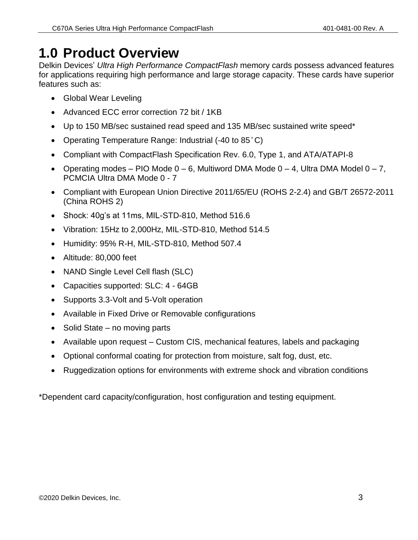# <span id="page-2-0"></span>**1.0 Product Overview**

Delkin Devices' *Ultra High Performance CompactFlash* memory cards possess advanced features for applications requiring high performance and large storage capacity. These cards have superior features such as:

- Global Wear Leveling
- Advanced ECC error correction 72 bit / 1KB
- Up to 150 MB/sec sustained read speed and 135 MB/sec sustained write speed\*
- Operating Temperature Range: Industrial (-40 to 85°C)
- Compliant with CompactFlash Specification Rev. 6.0, Type 1, and ATA/ATAPI-8
- Operating modes PIO Mode  $0 6$ , Multiword DMA Mode  $0 4$ , Ultra DMA Model  $0 7$ , PCMCIA Ultra DMA Mode 0 - 7
- Compliant with European Union Directive 2011/65/EU (ROHS 2-2.4) and GB/T 26572-2011 (China ROHS 2)
- Shock: 40g's at 11ms, MIL-STD-810, Method 516.6
- Vibration: 15Hz to 2,000Hz, MIL-STD-810, Method 514.5
- Humidity: 95% R-H, MIL-STD-810, Method 507.4
- Altitude: 80,000 feet
- NAND Single Level Cell flash (SLC)
- Capacities supported: SLC: 4 64GB
- Supports 3.3-Volt and 5-Volt operation
- Available in Fixed Drive or Removable configurations
- $\bullet$  Solid State no moving parts
- Available upon request Custom CIS, mechanical features, labels and packaging
- Optional conformal coating for protection from moisture, salt fog, dust, etc.
- Ruggedization options for environments with extreme shock and vibration conditions

\*Dependent card capacity/configuration, host configuration and testing equipment.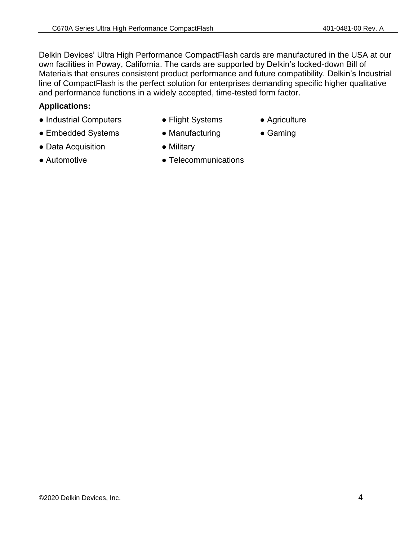Delkin Devices' Ultra High Performance CompactFlash cards are manufactured in the USA at our own facilities in Poway, California. The cards are supported by Delkin's locked-down Bill of Materials that ensures consistent product performance and future compatibility. Delkin's Industrial line of CompactFlash is the perfect solution for enterprises demanding specific higher qualitative and performance functions in a widely accepted, time-tested form factor.

#### **Applications:**

- Industrial Computers Flight Systems Agriculture
- Embedded Systems Manufacturing Gaming
- Data Acquisition Military
- 
- 
- 
- 
- Automotive Pelecommunications
-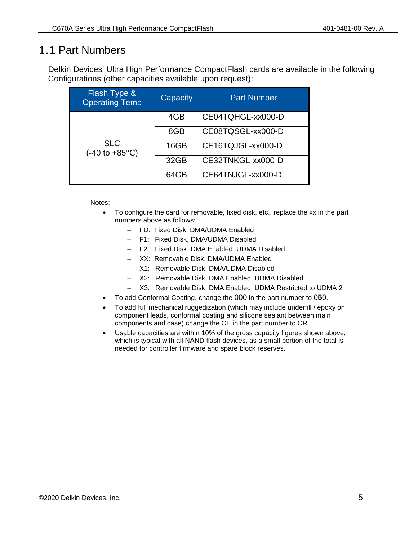#### <span id="page-4-0"></span>1.1 Part Numbers

Delkin Devices' Ultra High Performance CompactFlash cards are available in the following Configurations (other capacities available upon request):

| <b>Flash Type &amp;</b><br><b>Operating Temp</b>      | Capacity | <b>Part Number</b> |
|-------------------------------------------------------|----------|--------------------|
|                                                       | 4GB      | CE04TQHGL-xx000-D  |
|                                                       | 8GB      | CE08TQSGL-xx000-D  |
| <b>SLC</b><br>$(-40 \text{ to } +85^{\circ}\text{C})$ | 16GB     | CE16TQJGL-xx000-D  |
|                                                       | 32GB     | CE32TNKGL-xx000-D  |
|                                                       | 64GB     | CE64TNJGL-xx000-D  |

Notes:

- To configure the card for removable, fixed disk, etc., replace the xx in the part numbers above as follows:
	- FD: Fixed Disk, DMA/UDMA Enabled
	- F1: Fixed Disk, DMA/UDMA Disabled
	- F2: Fixed Disk, DMA Enabled, UDMA Disabled
	- XX: Removable Disk, DMA/UDMA Enabled
	- X1: Removable Disk, DMA/UDMA Disabled
	- X2: Removable Disk, DMA Enabled, UDMA Disabled
	- X3: Removable Disk, DMA Enabled, UDMA Restricted to UDMA 2
- To add Conformal Coating, change the 000 in the part number to 0**5**0.
- To add full mechanical ruggedization (which may include underfill / epoxy on component leads, conformal coating and silicone sealant between main components and case) change the CE in the part number to CR.
- Usable capacities are within 10% of the gross capacity figures shown above, which is typical with all NAND flash devices, as a small portion of the total is needed for controller firmware and spare block reserves.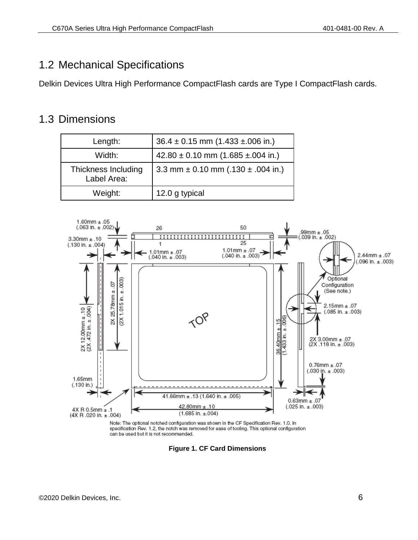#### <span id="page-5-0"></span>1.2 Mechanical Specifications

Delkin Devices Ultra High Performance CompactFlash cards are Type I CompactFlash cards.

#### <span id="page-5-1"></span>1.3 Dimensions

| Length:                            | $36.4 \pm 0.15$ mm $(1.433 \pm 0.06)$ in.) |
|------------------------------------|--------------------------------------------|
| Width:                             | $42.80 \pm 0.10$ mm (1.685 ±.004 in.)      |
| Thickness Including<br>Label Area: | 3.3 mm $\pm$ 0.10 mm (.130 $\pm$ .004 in.) |
| Weight:                            | 12.0 g typical                             |



<span id="page-5-2"></span>specification Rev. 1.2, the notch was removed for ease of tooling. This optional configuration can be used but it is not recommended.

**Figure 1. CF Card Dimensions**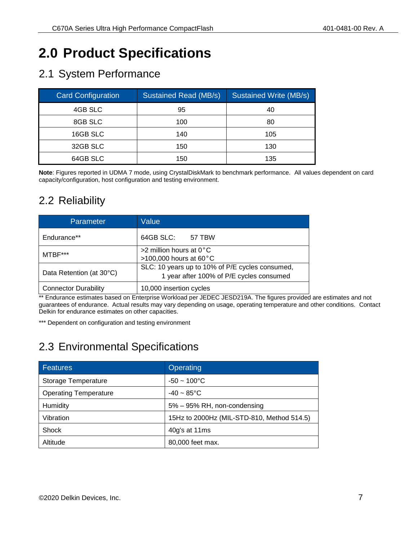# <span id="page-6-0"></span>**2.0 Product Specifications**

#### <span id="page-6-1"></span>2.1 System Performance

| <b>Card Configuration</b> | <b>Sustained Read (MB/s)</b> | <b>Sustained Write (MB/s)</b> |
|---------------------------|------------------------------|-------------------------------|
| 4GB SLC                   | 95                           | 40                            |
| 8GB SLC                   | 100                          | 80                            |
| 16GB SLC                  | 140                          | 105                           |
| 32GB SLC                  | 150                          | 130                           |
| 64GB SLC                  | 150                          | 135                           |

**Note**: Figures reported in UDMA 7 mode, using CrystalDiskMark to benchmark performance. All values dependent on card capacity/configuration, host configuration and testing environment.

#### <span id="page-6-2"></span>2.2 Reliability

| Parameter                   | Value                                                                                       |  |  |  |
|-----------------------------|---------------------------------------------------------------------------------------------|--|--|--|
| Endurance**                 | 64GB SLC:<br>57 TBW                                                                         |  |  |  |
| MTBF***                     | $>2$ million hours at 0°C<br>>100,000 hours at 60 $^{\circ}$ C                              |  |  |  |
| Data Retention (at 30°C)    | SLC: 10 years up to 10% of P/E cycles consumed,<br>1 year after 100% of P/E cycles consumed |  |  |  |
| <b>Connector Durability</b> | 10,000 insertion cycles                                                                     |  |  |  |

\*\* Endurance estimates based on Enterprise Workload per JEDEC JESD219A. The figures provided are estimates and not guarantees of endurance. Actual results may vary depending on usage, operating temperature and other conditions. Contact Delkin for endurance estimates on other capacities.

\*\*\* Dependent on configuration and testing environment

### <span id="page-6-3"></span>2.3 Environmental Specifications

| Features                     | Operating                                  |
|------------------------------|--------------------------------------------|
| Storage Temperature          | $-50 - 100^{\circ}$ C                      |
| <b>Operating Temperature</b> | $-40 \sim 85^{\circ}$ C                    |
| Humidity                     | 5% - 95% RH, non-condensing                |
| Vibration                    | 15Hz to 2000Hz (MIL-STD-810, Method 514.5) |
| <b>Shock</b>                 | 40g's at 11ms                              |
| Altitude                     | 80,000 feet max.                           |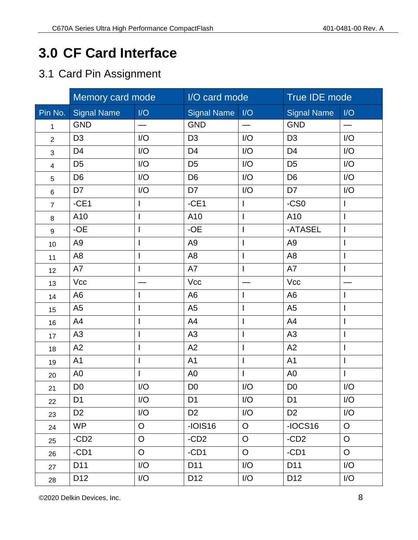# <span id="page-7-0"></span>**3.0 CF Card Interface**

#### <span id="page-7-1"></span>3.1 Card Pin Assignment

|                | Memory card mode   |                | I/O card mode      |                          | True IDE mode      |                          |
|----------------|--------------------|----------------|--------------------|--------------------------|--------------------|--------------------------|
| Pin No.        | <b>Signal Name</b> | I/O            | <b>Signal Name</b> | I/O                      | <b>Signal Name</b> | I/O                      |
| $\mathbf{1}$   | <b>GND</b>         |                | <b>GND</b>         |                          | <b>GND</b>         | $\overline{\phantom{0}}$ |
| $\overline{2}$ | D <sub>3</sub>     | I/O            | D <sub>3</sub>     | I/O                      | D <sub>3</sub>     | I/O                      |
| 3              | D <sub>4</sub>     | I/O            | D <sub>4</sub>     | I/O                      | D <sub>4</sub>     | I/O                      |
| $\overline{4}$ | D <sub>5</sub>     | I/O            | D <sub>5</sub>     | I/O                      | D <sub>5</sub>     | I/O                      |
| 5              | D <sub>6</sub>     | I/O            | D <sub>6</sub>     | I/O                      | D <sub>6</sub>     | I/O                      |
| 6              | D7                 | I/O            | D7                 | I/O                      | D7                 | I/O                      |
| $\overline{7}$ | $-CE1$             | $\mathsf{l}$   | $-CE1$             | L                        | $-CS0$             | $\mathbf{I}$             |
| 8              | A10                | $\mathsf{l}$   | A10                | $\mathsf{I}$             | A10                | $\overline{\phantom{a}}$ |
| 9              | $-OE$              | $\mathsf{I}$   | $-OE$              | $\mathsf{I}$             | -ATASEL            | $\overline{\phantom{a}}$ |
| 10             | A <sub>9</sub>     | $\mathsf{l}$   | A <sub>9</sub>     |                          | A <sub>9</sub>     |                          |
| 11             | A <sub>8</sub>     | $\mathsf{l}$   | A <sub>8</sub>     | I                        | A <sub>8</sub>     | $\mathsf{l}$             |
| 12             | A7                 | $\mathsf{I}$   | A7                 | I                        | A7                 | $\mathsf{I}$             |
| 13             | Vcc                |                | Vcc                |                          | Vcc                |                          |
| 14             | A <sub>6</sub>     | $\mathsf{I}$   | A <sub>6</sub>     | $\mathsf{I}$             | A <sub>6</sub>     | $\mathbf{I}$             |
| 15             | A <sub>5</sub>     | $\mathsf{l}$   | A <sub>5</sub>     | $\mathsf{I}$             | A <sub>5</sub>     | I                        |
| 16             | A4                 | $\mathsf{l}$   | A4                 | T                        | A4                 | $\overline{\phantom{a}}$ |
| 17             | A <sub>3</sub>     | $\mathsf{I}$   | A <sub>3</sub>     | I                        | A <sub>3</sub>     | $\mathsf{I}$             |
| 18             | A2                 | $\mathsf{l}$   | A2                 | $\overline{\phantom{a}}$ | A2                 | $\overline{\phantom{a}}$ |
| 19             | A <sub>1</sub>     | $\mathsf{I}$   | A <sub>1</sub>     | $\mathsf{I}$             | A <sub>1</sub>     | $\overline{1}$           |
| 20             | A <sub>0</sub>     | $\mathsf{I}$   | A <sub>0</sub>     | I                        | A <sub>0</sub>     | $\overline{1}$           |
| 21             | D <sub>0</sub>     | I/O            | D <sub>0</sub>     | I/O                      | D <sub>0</sub>     | I/O                      |
| 22             | D <sub>1</sub>     | I/O            | D <sub>1</sub>     | I/O                      | D <sub>1</sub>     | I/O                      |
| 23             | D <sub>2</sub>     | I/O            | D <sub>2</sub>     | I/O                      | D <sub>2</sub>     | I/O                      |
| 24             | <b>WP</b>          | $\circ$        | $-IOIS16$          | $\overline{O}$           | $-IOCS16$          | $\overline{O}$           |
| 25             | $-CD2$             | $\overline{O}$ | $-CD2$             | $\overline{O}$           | $-CD2$             | $\overline{O}$           |
| 26             | $-CD1$             | $\mathsf O$    | $-CD1$             | $\overline{O}$           | $-CD1$             | $\circ$                  |
| 27             | D11                | I/O            | D11                | I/O                      | D11                | I/O                      |
| 28             | D <sub>12</sub>    | I/O            | D <sub>12</sub>    | I/O                      | D <sub>12</sub>    | I/O                      |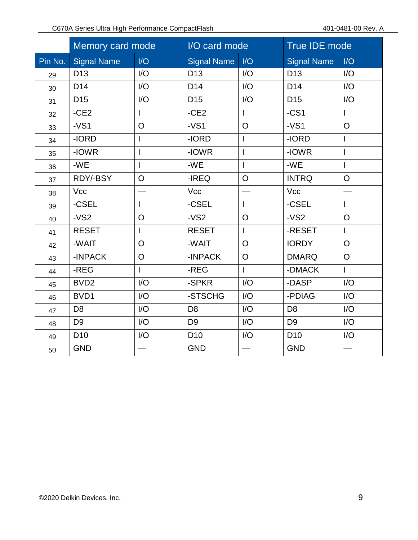|         | Memory card mode   |                | I/O card mode      |                | True IDE mode      |                |
|---------|--------------------|----------------|--------------------|----------------|--------------------|----------------|
| Pin No. | <b>Signal Name</b> | I/O            | <b>Signal Name</b> | I/O            | <b>Signal Name</b> | I/O            |
| 29      | D <sub>13</sub>    | I/O            | D <sub>13</sub>    | I/O            | D <sub>13</sub>    | I/O            |
| 30      | D <sub>14</sub>    | I/O            | D <sub>14</sub>    | I/O            | D <sub>14</sub>    | I/O            |
| 31      | D <sub>15</sub>    | I/O            | D <sub>15</sub>    | I/O            | D <sub>15</sub>    | I/O            |
| 32      | $-CE2$             | I              | $-CE2$             | $\mathbf{I}$   | $-CS1$             | $\mathsf{I}$   |
| 33      | $-VS1$             | $\overline{O}$ | $-VS1$             | $\circ$        | $-VS1$             | $\circ$        |
| 34      | -IORD              | I              | -IORD              | $\overline{1}$ | -IORD              | $\overline{1}$ |
| 35      | -IOWR              | I              | -IOWR              | $\overline{1}$ | -IOWR              |                |
| 36      | -WE                | I              | -WE                | $\overline{1}$ | $-WE$              | $\overline{1}$ |
| 37      | RDY/-BSY           | $\overline{O}$ | -IREQ              | $\overline{O}$ | <b>INTRQ</b>       | $\overline{O}$ |
| 38      | Vcc                |                | Vcc                |                | Vcc                |                |
| 39      | -CSEL              |                | -CSEL              | $\mathbf{I}$   | -CSEL              | $\mathsf{I}$   |
| 40      | $-VS2$             | $\overline{O}$ | $-VS2$             | $\overline{O}$ | $-VS2$             | $\circ$        |
| 41      | <b>RESET</b>       |                | <b>RESET</b>       | L              | -RESET             | L              |
| 42      | -WAIT              | $\overline{O}$ | -WAIT              | $\circ$        | <b>IORDY</b>       | $\circ$        |
| 43      | -INPACK            | $\circ$        | -INPACK            | $\circ$        | <b>DMARQ</b>       | $\circ$        |
| 44      | -REG               |                | -REG               | $\mathsf{I}$   | -DMACK             | $\mathbf{I}$   |
| 45      | BVD <sub>2</sub>   | I/O            | -SPKR              | I/O            | -DASP              | I/O            |
| 46      | BVD1               | I/O            | -STSCHG            | I/O            | -PDIAG             | I/O            |
| 47      | D <sub>8</sub>     | I/O            | D <sub>8</sub>     | I/O            | D <sub>8</sub>     | I/O            |
| 48      | D <sub>9</sub>     | I/O            | D <sub>9</sub>     | I/O            | D <sub>9</sub>     | I/O            |
| 49      | D <sub>10</sub>    | I/O            | D <sub>10</sub>    | I/O            | D <sub>10</sub>    | I/O            |
| 50      | <b>GND</b>         |                | <b>GND</b>         |                | <b>GND</b>         |                |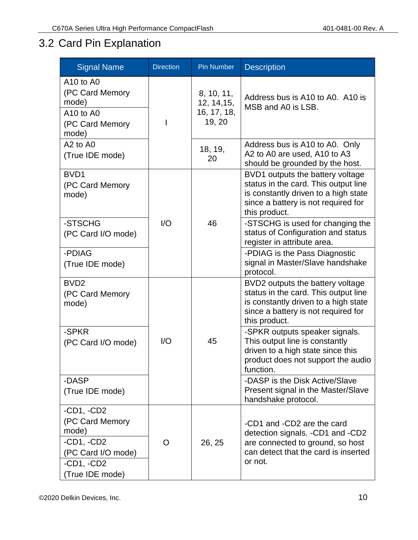# <span id="page-9-0"></span>3.2 Card Pin Explanation

| <b>Signal Name</b>                                                             | <b>Direction</b> | <b>Pin Number</b>                                  | <b>Description</b>                                                                                                                                                       |
|--------------------------------------------------------------------------------|------------------|----------------------------------------------------|--------------------------------------------------------------------------------------------------------------------------------------------------------------------------|
| A10 to A0<br>(PC Card Memory<br>mode)<br>A10 to A0<br>(PC Card Memory<br>mode) |                  | 8, 10, 11,<br>12, 14, 15,<br>16, 17, 18,<br>19, 20 | Address bus is A10 to A0. A10 is<br>MSB and A0 is LSB.                                                                                                                   |
| A <sub>2</sub> to A <sub>0</sub><br>(True IDE mode)                            |                  | 18, 19,<br>20                                      | Address bus is A10 to A0. Only<br>A2 to A0 are used, A10 to A3<br>should be grounded by the host.                                                                        |
| BVD1<br>(PC Card Memory<br>mode)                                               |                  |                                                    | BVD1 outputs the battery voltage<br>status in the card. This output line<br>is constantly driven to a high state<br>since a battery is not required for<br>this product. |
| -STSCHG<br>(PC Card I/O mode)                                                  | I/O              | 46                                                 | -STSCHG is used for changing the<br>status of Configuration and status<br>register in attribute area.                                                                    |
| -PDIAG<br>(True IDE mode)                                                      |                  |                                                    | -PDIAG is the Pass Diagnostic<br>signal in Master/Slave handshake<br>protocol.                                                                                           |
| BVD <sub>2</sub><br>(PC Card Memory<br>mode)                                   |                  |                                                    | BVD2 outputs the battery voltage<br>status in the card. This output line<br>is constantly driven to a high state<br>since a battery is not required for<br>this product. |
| -SPKR<br>(PC Card I/O mode)                                                    | I/O              | 45                                                 | -SPKR outputs speaker signals.<br>This output line is constantly<br>driven to a high state since this<br>product does not support the audio<br>function.                 |
| -DASP<br>(True IDE mode)                                                       |                  |                                                    | -DASP is the Disk Active/Slave<br>Present signal in the Master/Slave<br>handshake protocol.                                                                              |
| $-CD1, -CD2$<br>(PC Card Memory<br>mode)<br>$-CD1, -CD2$<br>(PC Card I/O mode) | O                | 26, 25                                             | -CD1 and -CD2 are the card<br>detection signals. -CD1 and -CD2<br>are connected to ground, so host<br>can detect that the card is inserted<br>or not.                    |
| $-CD1, -CD2$<br>(True IDE mode)                                                |                  |                                                    |                                                                                                                                                                          |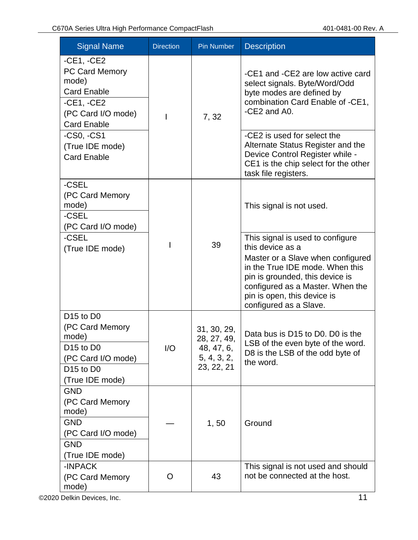| <b>Signal Name</b>                                                                                                                                                               | <b>Direction</b> | <b>Pin Number</b>                                                     | <b>Description</b>                                                                                                                                                                                                                                           |
|----------------------------------------------------------------------------------------------------------------------------------------------------------------------------------|------------------|-----------------------------------------------------------------------|--------------------------------------------------------------------------------------------------------------------------------------------------------------------------------------------------------------------------------------------------------------|
| $-CE1, -CE2$<br><b>PC Card Memory</b><br>mode)<br><b>Card Enable</b><br>$-CE1, -CE2$<br>(PC Card I/O mode)<br><b>Card Enable</b>                                                 |                  | 7,32                                                                  | -CE1 and -CE2 are low active card<br>select signals. Byte/Word/Odd<br>byte modes are defined by<br>combination Card Enable of -CE1,<br>-CE2 and A0.                                                                                                          |
| $-CS0, -CS1$<br>(True IDE mode)<br><b>Card Enable</b>                                                                                                                            |                  |                                                                       | -CE2 is used for select the<br>Alternate Status Register and the<br>Device Control Register while -<br>CE1 is the chip select for the other<br>task file registers.                                                                                          |
| -CSEL<br>(PC Card Memory<br>mode)<br>-CSEL<br>(PC Card I/O mode)                                                                                                                 |                  |                                                                       | This signal is not used.                                                                                                                                                                                                                                     |
| -CSEL<br>(True IDE mode)                                                                                                                                                         |                  | 39                                                                    | This signal is used to configure<br>this device as a<br>Master or a Slave when configured<br>in the True IDE mode. When this<br>pin is grounded, this device is<br>configured as a Master. When the<br>pin is open, this device is<br>configured as a Slave. |
| D <sub>15</sub> to D <sub>0</sub><br>(PC Card Memory<br>mode)<br>D <sub>15</sub> to D <sub>0</sub><br>(PC Card I/O mode)<br>D <sub>15</sub> to D <sub>0</sub><br>(True IDE mode) | 1/O              | 31, 30, 29,<br>28, 27, 49,<br>48, 47, 6,<br>5, 4, 3, 2,<br>23, 22, 21 | Data bus is D15 to D0. D0 is the<br>LSB of the even byte of the word.<br>D8 is the LSB of the odd byte of<br>the word.                                                                                                                                       |
| <b>GND</b><br>(PC Card Memory<br>mode)<br><b>GND</b><br>(PC Card I/O mode)<br><b>GND</b><br>(True IDE mode)                                                                      |                  | 1, 50                                                                 | Ground                                                                                                                                                                                                                                                       |
| -INPACK<br>(PC Card Memory<br>mode)                                                                                                                                              | O                | 43                                                                    | This signal is not used and should<br>not be connected at the host.                                                                                                                                                                                          |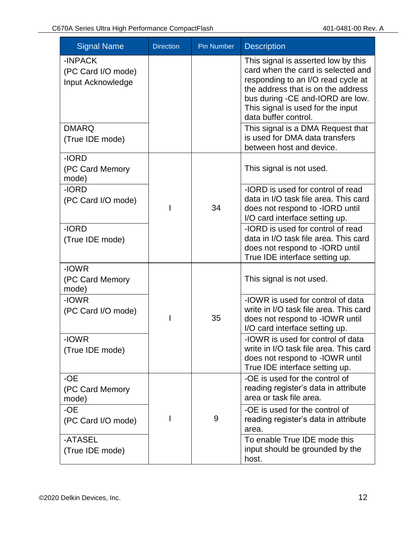| <b>Signal Name</b>                                 | <b>Direction</b> | <b>Pin Number</b> | <b>Description</b>                                                                                                                                                                                                                                     |
|----------------------------------------------------|------------------|-------------------|--------------------------------------------------------------------------------------------------------------------------------------------------------------------------------------------------------------------------------------------------------|
| -INPACK<br>(PC Card I/O mode)<br>Input Acknowledge |                  |                   | This signal is asserted low by this<br>card when the card is selected and<br>responding to an I/O read cycle at<br>the address that is on the address<br>bus during -CE and-IORD are low.<br>This signal is used for the input<br>data buffer control. |
| <b>DMARQ</b><br>(True IDE mode)                    |                  |                   | This signal is a DMA Request that<br>is used for DMA data transfers<br>between host and device.                                                                                                                                                        |
| -IORD<br>(PC Card Memory<br>mode)                  |                  |                   | This signal is not used.                                                                                                                                                                                                                               |
| -IORD<br>(PC Card I/O mode)                        |                  | 34                | -IORD is used for control of read<br>data in I/O task file area. This card<br>does not respond to -IORD until<br>I/O card interface setting up.                                                                                                        |
| -IORD<br>(True IDE mode)                           |                  |                   | -IORD is used for control of read<br>data in I/O task file area. This card<br>does not respond to -IORD until<br>True IDE interface setting up.                                                                                                        |
| -IOWR<br>(PC Card Memory<br>mode)                  |                  |                   | This signal is not used.                                                                                                                                                                                                                               |
| -IOWR<br>(PC Card I/O mode)                        |                  | 35                | -IOWR is used for control of data<br>write in I/O task file area. This card<br>does not respond to -IOWR until<br>I/O card interface setting up.                                                                                                       |
| -IOWR<br>(True IDE mode)                           |                  |                   | -IOWR is used for control of data<br>write in I/O task file area. This card<br>does not respond to -IOWR until<br>True IDE interface setting up.                                                                                                       |
| -OE<br>(PC Card Memory<br>mode)                    |                  |                   | -OE is used for the control of<br>reading register's data in attribute<br>area or task file area.                                                                                                                                                      |
| -OE<br>(PC Card I/O mode)                          |                  | 9                 | -OE is used for the control of<br>reading register's data in attribute<br>area.                                                                                                                                                                        |
| -ATASEL<br>(True IDE mode)                         |                  |                   | To enable True IDE mode this<br>input should be grounded by the<br>host.                                                                                                                                                                               |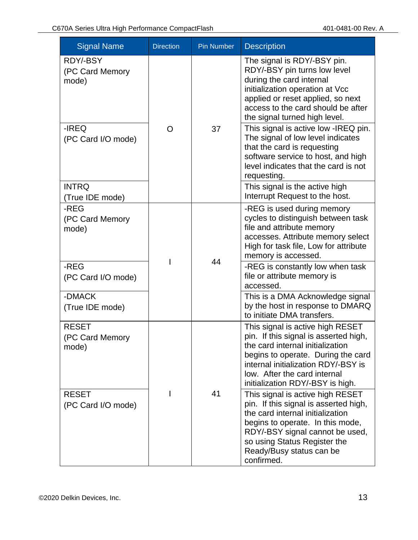| <b>Signal Name</b>                       | <b>Direction</b> | <b>Pin Number</b> | <b>Description</b>                                                                                                                                                                                                                                             |
|------------------------------------------|------------------|-------------------|----------------------------------------------------------------------------------------------------------------------------------------------------------------------------------------------------------------------------------------------------------------|
| RDY/-BSY<br>(PC Card Memory<br>mode)     |                  |                   | The signal is RDY/-BSY pin.<br>RDY/-BSY pin turns low level<br>during the card internal<br>initialization operation at Vcc<br>applied or reset applied, so next<br>access to the card should be after<br>the signal turned high level.                         |
| -IREQ<br>(PC Card I/O mode)              | O                | 37                | This signal is active low -IREQ pin.<br>The signal of low level indicates<br>that the card is requesting<br>software service to host, and high<br>level indicates that the card is not<br>requesting.                                                          |
| <b>INTRQ</b><br>(True IDE mode)          |                  |                   | This signal is the active high<br>Interrupt Request to the host.                                                                                                                                                                                               |
| -REG<br>(PC Card Memory<br>mode)         |                  | 44                | -REG is used during memory<br>cycles to distinguish between task<br>file and attribute memory<br>accesses. Attribute memory select<br>High for task file, Low for attribute<br>memory is accessed.                                                             |
| -REG<br>(PC Card I/O mode)               |                  |                   | -REG is constantly low when task<br>file or attribute memory is<br>accessed.                                                                                                                                                                                   |
| -DMACK<br>(True IDE mode)                |                  |                   | This is a DMA Acknowledge signal<br>by the host in response to DMARQ<br>to initiate DMA transfers.                                                                                                                                                             |
| <b>RESET</b><br>(PC Card Memory<br>mode) |                  |                   | This signal is active high RESET<br>pin. If this signal is asserted high,<br>the card internal initialization<br>begins to operate. During the card<br>internal initialization RDY/-BSY is<br>low. After the card internal<br>initialization RDY/-BSY is high. |
| <b>RESET</b><br>(PC Card I/O mode)       |                  | 41                | This signal is active high RESET<br>pin. If this signal is asserted high,<br>the card internal initialization<br>begins to operate. In this mode,<br>RDY/-BSY signal cannot be used,<br>so using Status Register the<br>Ready/Busy status can be<br>confirmed. |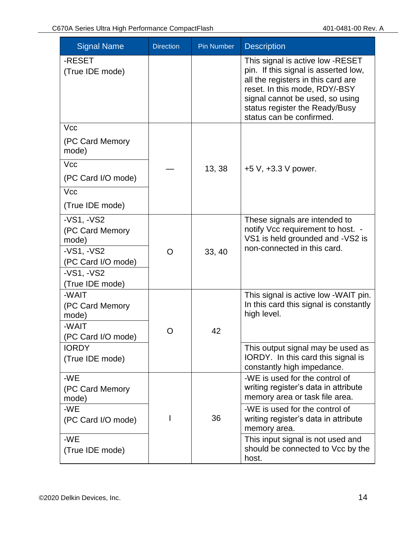| <b>Signal Name</b>                                                                             | <b>Direction</b> | <b>Pin Number</b> | <b>Description</b>                                                                                                                                                                                                                               |
|------------------------------------------------------------------------------------------------|------------------|-------------------|--------------------------------------------------------------------------------------------------------------------------------------------------------------------------------------------------------------------------------------------------|
| -RESET<br>(True IDE mode)                                                                      |                  |                   | This signal is active low -RESET<br>pin. If this signal is asserted low,<br>all the registers in this card are<br>reset. In this mode, RDY/-BSY<br>signal cannot be used, so using<br>status register the Ready/Busy<br>status can be confirmed. |
| <b>Vcc</b>                                                                                     |                  |                   |                                                                                                                                                                                                                                                  |
| (PC Card Memory<br>mode)                                                                       |                  |                   |                                                                                                                                                                                                                                                  |
| Vcc                                                                                            |                  | 13, 38            | $+5$ V, $+3.3$ V power.                                                                                                                                                                                                                          |
| (PC Card I/O mode)                                                                             |                  |                   |                                                                                                                                                                                                                                                  |
| <b>Vcc</b>                                                                                     |                  |                   |                                                                                                                                                                                                                                                  |
| (True IDE mode)                                                                                |                  |                   |                                                                                                                                                                                                                                                  |
| $-VS1, -VS2$<br>(PC Card Memory<br>mode)<br>$-VS1, -VS2$<br>(PC Card I/O mode)<br>$-VS1, -VS2$ | O                | 33, 40            | These signals are intended to<br>notify Vcc requirement to host. -<br>VS1 is held grounded and -VS2 is<br>non-connected in this card.                                                                                                            |
| (True IDE mode)                                                                                |                  |                   |                                                                                                                                                                                                                                                  |
| -WAIT<br>(PC Card Memory<br>mode)<br>-WAIT<br>(PC Card I/O mode)                               | O                | 42                | This signal is active low -WAIT pin.<br>In this card this signal is constantly<br>high level.                                                                                                                                                    |
| <b>IORDY</b><br>(True IDE mode)                                                                |                  |                   | This output signal may be used as<br>IORDY. In this card this signal is<br>constantly high impedance.                                                                                                                                            |
| -WE<br>(PC Card Memory<br>mode)                                                                |                  |                   | -WE is used for the control of<br>writing register's data in attribute<br>memory area or task file area.                                                                                                                                         |
| -WE<br>(PC Card I/O mode)                                                                      |                  | 36                | -WE is used for the control of<br>writing register's data in attribute<br>memory area.                                                                                                                                                           |
| -WE<br>(True IDE mode)                                                                         |                  |                   | This input signal is not used and<br>should be connected to Vcc by the<br>host.                                                                                                                                                                  |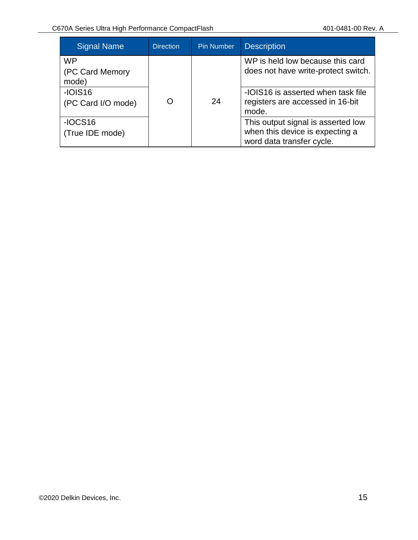| <b>Signal Name</b>                    | <b>Direction</b> | <b>Pin Number</b> | <b>Description</b>                                                                                 |
|---------------------------------------|------------------|-------------------|----------------------------------------------------------------------------------------------------|
| <b>WP</b><br>(PC Card Memory<br>mode) |                  |                   | WP is held low because this card<br>does not have write-protect switch.                            |
| $-IOIS16$<br>(PC Card I/O mode)       | O                | 24                | -IOIS16 is asserted when task file<br>registers are accessed in 16-bit<br>mode.                    |
| $-IOCS16$<br>(True IDE mode)          |                  |                   | This output signal is asserted low<br>when this device is expecting a<br>word data transfer cycle. |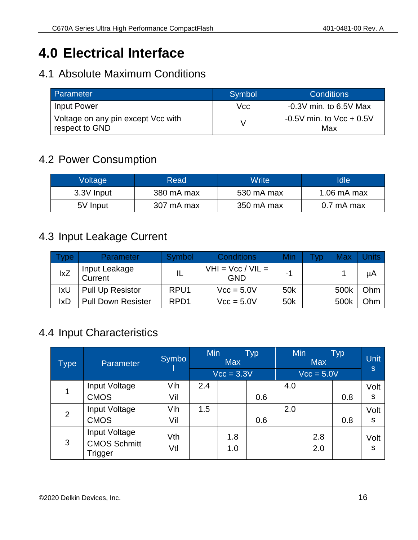# <span id="page-15-0"></span>**4.0 Electrical Interface**

#### <span id="page-15-1"></span>4.1 Absolute Maximum Conditions

| Parameter                                            | Symbol | <b>Conditions</b>                   |
|------------------------------------------------------|--------|-------------------------------------|
| Input Power                                          | Vcc    | $-0.3V$ min. to 6.5V Max            |
| Voltage on any pin except Vcc with<br>respect to GND |        | $-0.5V$ min. to $Vcc + 0.5V$<br>Max |

#### <span id="page-15-2"></span>4.2 Power Consumption

| Voltage    | Read       | Write      | Idle                  |
|------------|------------|------------|-----------------------|
| 3.3V Input | 380 mA max | 530 mA max | $1.06 \text{ mA max}$ |
| 5V Input   | 307 mA max | 350 mA max | $0.7 \text{ mA max}$  |

#### <span id="page-15-3"></span>4.3 Input Leakage Current

| ype        | <b>Parameter</b>          | Symbol           | <b>Conditions</b>                 | Min | <b>VD</b> | <b>Max</b> |     |
|------------|---------------------------|------------------|-----------------------------------|-----|-----------|------------|-----|
| lxZ        | Input Leakage<br>Current  |                  | $VHI = Vcc / VIL =$<br><b>GND</b> | - 1 |           |            | μA  |
| IxU        | <b>Pull Up Resistor</b>   | RPU <sub>1</sub> | $Vcc = 5.0V$                      | 50k |           | 500k       | Ohm |
| <b>IxD</b> | <b>Pull Down Resister</b> | RPD <sub>1</sub> | $Vcc = 5.0V$                      | 50k |           | 500k       | Ohm |

#### <span id="page-15-4"></span>4.4 Input Characteristics

| Type           | Parameter                                       | Symbo      | Min | <b>Max</b><br>$Vcc = 3.3V$ | <b>Typ</b> | <b>Min</b> | <b>Max</b><br>$Vcc = 5.0V$ | <b>Typ</b> | <b>Unit</b><br><sub>S</sub> |
|----------------|-------------------------------------------------|------------|-----|----------------------------|------------|------------|----------------------------|------------|-----------------------------|
|                | Input Voltage<br><b>CMOS</b>                    | Vih<br>Vil | 2.4 |                            | 0.6        | 4.0        |                            | 0.8        | Volt<br>S                   |
| $\overline{2}$ | Input Voltage<br><b>CMOS</b>                    | Vih<br>Vil | 1.5 |                            | 0.6        | 2.0        |                            | 0.8        | Volt<br>S                   |
| 3              | Input Voltage<br><b>CMOS Schmitt</b><br>Trigger | Vth<br>Vtl |     | 1.8<br>1.0                 |            |            | 2.8<br>2.0                 |            | Volt<br>S                   |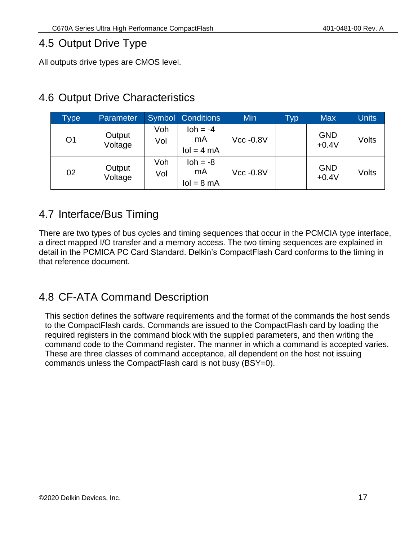#### <span id="page-16-0"></span>4.5 Output Drive Type

All outputs drive types are CMOS level.

#### <span id="page-16-1"></span>4.6 Output Drive Characteristics

| <b>Type</b>    | <b>Parameter</b>  | Symbol     | <b>Conditions</b>                         | Min         | Typ | <b>Max</b>            | <b>Units</b> |
|----------------|-------------------|------------|-------------------------------------------|-------------|-----|-----------------------|--------------|
| O <sub>1</sub> | Output<br>Voltage | Voh<br>Vol | $\mathsf{loh} = -4$<br>mA<br>$IoI = 4 mA$ | $Vcc -0.8V$ |     | <b>GND</b><br>$+0.4V$ | Volts        |
| 02             | Output<br>Voltage | Voh<br>Vol | $\text{loh} = -8$<br>mA<br>$IoI = 8 mA$   | $Vcc -0.8V$ |     | <b>GND</b><br>$+0.4V$ | Volts        |

#### <span id="page-16-2"></span>4.7 Interface/Bus Timing

There are two types of bus cycles and timing sequences that occur in the PCMCIA type interface, a direct mapped I/O transfer and a memory access. The two timing sequences are explained in detail in the PCMICA PC Card Standard. Delkin's CompactFlash Card conforms to the timing in that reference document.

#### <span id="page-16-3"></span>4.8 CF-ATA Command Description

This section defines the software requirements and the format of the commands the host sends to the CompactFlash cards. Commands are issued to the CompactFlash card by loading the required registers in the command block with the supplied parameters, and then writing the command code to the Command register. The manner in which a command is accepted varies. These are three classes of command acceptance, all dependent on the host not issuing commands unless the CompactFlash card is not busy (BSY=0).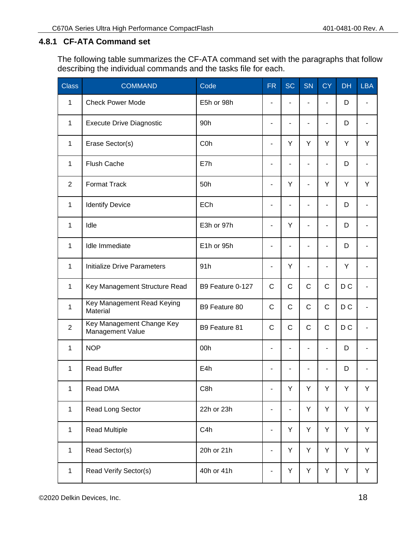#### <span id="page-17-0"></span>**4.8.1 CF-ATA Command set**

The following table summarizes the CF-ATA command set with the paragraphs that follow describing the individual commands and the tasks file for each.

| <b>Class</b>   | <b>COMMAND</b>                                | Code             | <b>FR</b>                | <b>SC</b>   | <b>SN</b>    | <b>CY</b>    | <b>DH</b>      | <b>LBA</b> |
|----------------|-----------------------------------------------|------------------|--------------------------|-------------|--------------|--------------|----------------|------------|
| $\mathbf{1}$   | <b>Check Power Mode</b>                       | E5h or 98h       |                          |             |              | ä,           | D              |            |
| $\mathbf{1}$   | <b>Execute Drive Diagnostic</b>               | 90h              | ÷                        |             |              | ۰            | D              |            |
| $\mathbf{1}$   | Erase Sector(s)                               | C <sub>0</sub> h | ٠                        | Y           | Y            | Y            | Y              | Y          |
| 1              | <b>Flush Cache</b>                            | E7h              | ۰                        |             |              | ۰            | D              |            |
| $\overline{2}$ | <b>Format Track</b>                           | 50h              | ÷,                       | Y           |              | Y            | Y              | Y          |
| $\mathbf{1}$   | <b>Identify Device</b>                        | <b>ECh</b>       | ۰                        |             |              | ۰            | D              |            |
| 1              | Idle                                          | E3h or 97h       | ÷,                       | Y           |              |              | D              |            |
| 1              | Idle Immediate                                | E1h or 95h       | $\overline{\phantom{a}}$ |             |              | ۰            | D              |            |
| $\mathbf{1}$   | <b>Initialize Drive Parameters</b>            | 91h              | $\overline{\phantom{a}}$ | Y           |              |              | Y              |            |
| $\mathbf{1}$   | Key Management Structure Read                 | B9 Feature 0-127 | C                        | $\mathsf C$ | $\mathsf{C}$ | $\mathsf{C}$ | D <sub>C</sub> |            |
| $\mathbf{1}$   | Key Management Read Keying<br>Material        | B9 Feature 80    | C                        | $\mathsf C$ | $\mathsf{C}$ | $\mathsf{C}$ | D <sub>C</sub> |            |
| $\overline{2}$ | Key Management Change Key<br>Management Value | B9 Feature 81    | $\mathsf C$              | $\mathsf C$ | $\mathsf{C}$ | $\mathsf{C}$ | D <sub>C</sub> |            |
| 1              | <b>NOP</b>                                    | 00h              | ÷                        |             |              | ۰            | D              |            |
| 1              | <b>Read Buffer</b>                            | E4h              |                          |             |              |              | D              |            |
| 1              | Read DMA                                      | C8h              | $\overline{\phantom{a}}$ | Υ           | Υ            | Y            | Y              | Y          |
| $\mathbf{1}$   | Read Long Sector                              | 22h or 23h       | -                        | ٠           | Y            | Y            | Υ              | Y          |
| $\mathbf{1}$   | <b>Read Multiple</b>                          | C4h              | ٠                        | Y           | Y            | Y            | Υ              | Y          |
| $\mathbf{1}$   | Read Sector(s)                                | 20h or 21h       | ٠                        | Y           | Y            | Y            | Υ              | Y          |
| $\mathbf{1}$   | Read Verify Sector(s)                         | 40h or 41h       | -                        | Y           | Υ            | Υ            | Υ              | Y          |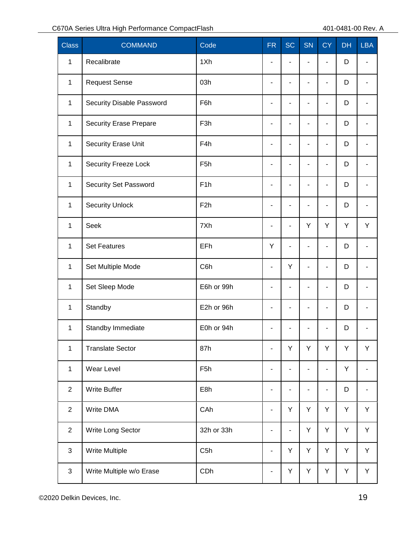| <b>Class</b>   | <b>COMMAND</b>                | Code             | <b>FR</b>                    | <b>SC</b>                    | <b>SN</b>                | <b>CY</b>                | <b>DH</b> | <b>LBA</b>               |
|----------------|-------------------------------|------------------|------------------------------|------------------------------|--------------------------|--------------------------|-----------|--------------------------|
| $\mathbf{1}$   | Recalibrate                   | 1Xh              | $\overline{\phantom{a}}$     | $\overline{\phantom{a}}$     | ٠                        | $\overline{\phantom{a}}$ | D         |                          |
| $\mathbf{1}$   | <b>Request Sense</b>          | 03h              | ÷                            | L,                           | $\blacksquare$           | $\overline{\phantom{a}}$ | D         |                          |
| $\mathbf{1}$   | Security Disable Password     | F6h              | $\qquad \qquad \blacksquare$ | $\overline{\phantom{a}}$     | $\blacksquare$           | $\overline{\phantom{m}}$ | D         | $\blacksquare$           |
| $\mathbf{1}$   | <b>Security Erase Prepare</b> | F <sub>3</sub> h | $\overline{\phantom{a}}$     | ä,                           | $\blacksquare$           | ä,                       | D         |                          |
| $\mathbf{1}$   | Security Erase Unit           | F4h              | $\qquad \qquad \blacksquare$ | $\overline{\phantom{a}}$     | $\blacksquare$           | $\overline{\phantom{m}}$ | D         | $\blacksquare$           |
| $\mathbf{1}$   | <b>Security Freeze Lock</b>   | F <sub>5</sub> h | $\overline{\phantom{a}}$     |                              | $\blacksquare$           | ä,                       | D         |                          |
| $\mathbf{1}$   | Security Set Password         | F <sub>1</sub> h | $\overline{\phantom{a}}$     | $\blacksquare$               | $\blacksquare$           | $\overline{\phantom{a}}$ | D         | $\blacksquare$           |
| $\mathbf{1}$   | <b>Security Unlock</b>        | F <sub>2</sub> h | $\blacksquare$               | ÷                            | $\blacksquare$           | $\blacksquare$           | D         |                          |
| $\mathbf{1}$   | <b>Seek</b>                   | 7Xh              | $\overline{\phantom{a}}$     | $\blacksquare$               | Y                        | Y                        | Y         | Y                        |
| $\mathbf{1}$   | <b>Set Features</b>           | EFh              | Υ                            | $\blacksquare$               | $\blacksquare$           | $\overline{\phantom{a}}$ | D         |                          |
| $\mathbf{1}$   | Set Multiple Mode             | C6h              | $\overline{\phantom{0}}$     | Y                            | $\blacksquare$           | $\overline{\phantom{a}}$ | D         | $\blacksquare$           |
| $\mathbf{1}$   | Set Sleep Mode                | E6h or 99h       | $\blacksquare$               | $\blacksquare$               | $\blacksquare$           | $\overline{\phantom{a}}$ | D         |                          |
| $\mathbf{1}$   | Standby                       | E2h or 96h       | $\blacksquare$               | $\overline{\phantom{a}}$     | $\blacksquare$           | $\overline{\phantom{m}}$ | D         |                          |
| $\mathbf{1}$   | Standby Immediate             | E0h or 94h       | ٠                            |                              |                          |                          | D         |                          |
| $\mathbf{1}$   | <b>Translate Sector</b>       | 87h              | $\qquad \qquad \blacksquare$ | Υ                            | Y                        | Y                        | Y         | Υ                        |
| $\mathbf{1}$   | Wear Level                    | F <sub>5</sub> h | $\qquad \qquad \blacksquare$ | $\overline{\phantom{a}}$     | $\blacksquare$           | $\overline{\phantom{0}}$ | Y         | $\overline{\phantom{a}}$ |
| $\mathbf{2}$   | <b>Write Buffer</b>           | E8h              | $\qquad \qquad \blacksquare$ | $\qquad \qquad \blacksquare$ | $\overline{\phantom{a}}$ | $\overline{\phantom{m}}$ | D         | $\overline{\phantom{a}}$ |
| $\overline{2}$ | Write DMA                     | CAh              | $\qquad \qquad \blacksquare$ | Y                            | Y                        | Y                        | Υ         | Y                        |
| $\mathbf{2}$   | Write Long Sector             | 32h or 33h       | $\qquad \qquad \blacksquare$ | $\blacksquare$               | Y                        | Y                        | Y         | Y                        |
| $\mathfrak{S}$ | <b>Write Multiple</b>         | C <sub>5</sub> h | $\qquad \qquad \blacksquare$ | Y                            | Y                        | Y                        | Υ         | Y                        |
| $\mathfrak{S}$ | Write Multiple w/o Erase      | CDh              | $\qquad \qquad \blacksquare$ | Y                            | Υ                        | Υ                        | Υ         | Y                        |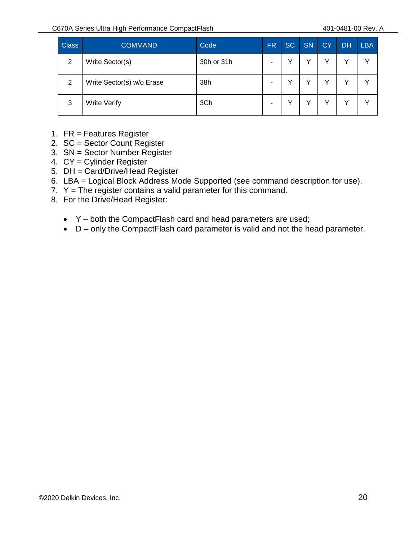| <b>Class</b> | <b>COMMAND</b>            | Code       | <b>FR</b> | <b>SC</b> | <b>SN</b> | CY | <b>DH</b> | <b>LBA</b>   |
|--------------|---------------------------|------------|-----------|-----------|-----------|----|-----------|--------------|
| 2            | Write Sector(s)           | 30h or 31h | -         | ◡         |           | v  | v         | $\checkmark$ |
| 2            | Write Sector(s) w/o Erase | 38h        | -         | ν         |           | v  | v         | v            |
| 3            | <b>Write Verify</b>       | 3Ch        | -         | ν         |           | v  | v         |              |

- 1. FR = Features Register
- 2. SC = Sector Count Register
- 3. SN = Sector Number Register
- 4. CY = Cylinder Register
- 5. DH = Card/Drive/Head Register
- 6. LBA = Logical Block Address Mode Supported (see command description for use).
- 7.  $Y =$  The register contains a valid parameter for this command.
- 8. For the Drive/Head Register:
	- Y both the CompactFlash card and head parameters are used;
	- D only the CompactFlash card parameter is valid and not the head parameter.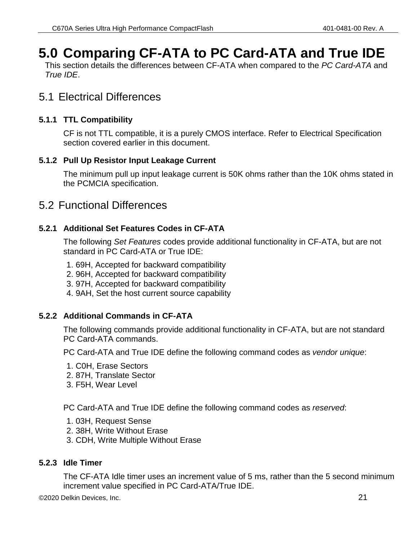# <span id="page-20-0"></span>**5.0 Comparing CF-ATA to PC Card-ATA and True IDE**

This section details the differences between CF-ATA when compared to the *PC Card-ATA* and *True IDE*.

#### <span id="page-20-1"></span>5.1 Electrical Differences

#### <span id="page-20-2"></span>**5.1.1 TTL Compatibility**

CF is not TTL compatible, it is a purely CMOS interface. Refer to Electrical Specification section covered earlier in this document.

#### <span id="page-20-3"></span>**5.1.2 Pull Up Resistor Input Leakage Current**

The minimum pull up input leakage current is 50K ohms rather than the 10K ohms stated in the PCMCIA specification.

#### <span id="page-20-4"></span>5.2 Functional Differences

#### <span id="page-20-5"></span>**5.2.1 Additional Set Features Codes in CF-ATA**

The following *Set Features* codes provide additional functionality in CF-ATA, but are not standard in PC Card-ATA or True IDE:

- 1. 69H, Accepted for backward compatibility
- 2. 96H, Accepted for backward compatibility
- 3. 97H, Accepted for backward compatibility
- 4. 9AH, Set the host current source capability

#### <span id="page-20-6"></span>**5.2.2 Additional Commands in CF-ATA**

The following commands provide additional functionality in CF-ATA, but are not standard PC Card-ATA commands.

PC Card-ATA and True IDE define the following command codes as *vendor unique*:

- 1. C0H, Erase Sectors
- 2. 87H, Translate Sector
- 3. F5H, Wear Level

PC Card-ATA and True IDE define the following command codes as *reserved*:

- 1. 03H, Request Sense
- 2. 38H, Write Without Erase
- 3. CDH, Write Multiple Without Erase

#### <span id="page-20-7"></span>**5.2.3 Idle Timer**

The CF-ATA Idle timer uses an increment value of 5 ms, rather than the 5 second minimum increment value specified in PC Card-ATA/True IDE.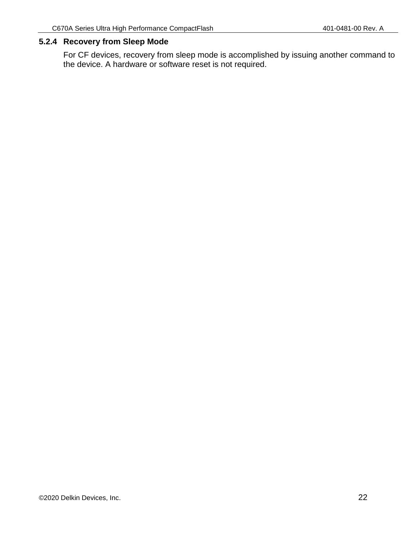#### <span id="page-21-0"></span>**5.2.4 Recovery from Sleep Mode**

For CF devices, recovery from sleep mode is accomplished by issuing another command to the device. A hardware or software reset is not required.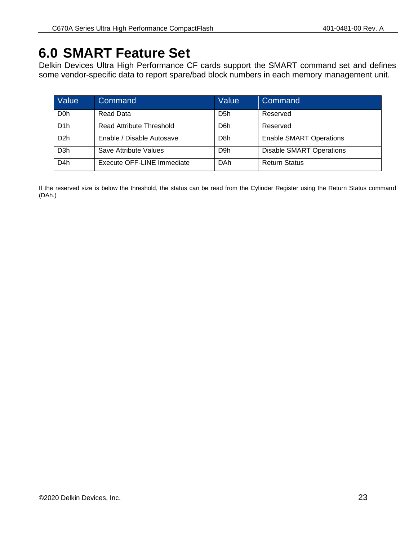# <span id="page-22-0"></span>**6.0 SMART Feature Set**

Delkin Devices Ultra High Performance CF cards support the SMART command set and defines some vendor-specific data to report spare/bad block numbers in each memory management unit.

| Value            | Command                         | Value            | Command                         |
|------------------|---------------------------------|------------------|---------------------------------|
| D <sub>0</sub> h | Read Data                       | D <sub>5</sub> h | Reserved                        |
| D <sub>1</sub> h | <b>Read Attribute Threshold</b> | D6h              | Reserved                        |
| D <sub>2</sub> h | Enable / Disable Autosave       | D <sub>8</sub> h | <b>Enable SMART Operations</b>  |
| D <sub>3</sub> h | Save Attribute Values           | D <sub>9</sub> h | <b>Disable SMART Operations</b> |
| D <sub>4</sub> h | Execute OFF-LINE Immediate      | DAh              | <b>Return Status</b>            |

If the reserved size is below the threshold, the status can be read from the Cylinder Register using the Return Status command (DAh.)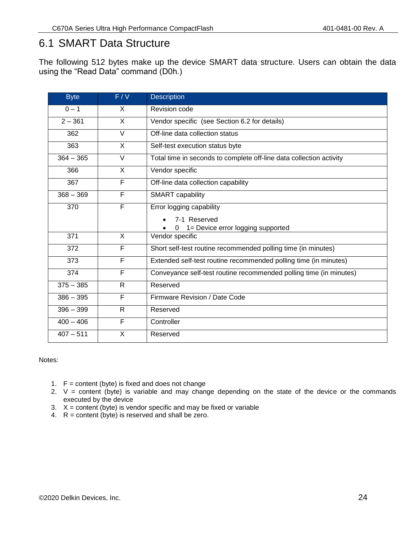#### <span id="page-23-0"></span>6.1 SMART Data Structure

The following 512 bytes make up the device SMART data structure. Users can obtain the data using the "Read Data" command (D0h.)

| <b>Byte</b> | F/V               | <b>Description</b>                                                  |  |  |  |
|-------------|-------------------|---------------------------------------------------------------------|--|--|--|
| $0 - 1$     | X                 | Revision code                                                       |  |  |  |
| $2 - 361$   | X                 | Vendor specific (see Section 6.2 for details)                       |  |  |  |
| 362         | $\overline{\vee}$ | Off-line data collection status                                     |  |  |  |
| 363         | X                 | Self-test execution status byte                                     |  |  |  |
| $364 - 365$ | V                 | Total time in seconds to complete off-line data collection activity |  |  |  |
| 366         | X                 | Vendor specific                                                     |  |  |  |
| 367         | F                 | Off-line data collection capability                                 |  |  |  |
| $368 - 369$ | F                 | <b>SMART</b> capability                                             |  |  |  |
| 370         | F                 | Error logging capability                                            |  |  |  |
|             |                   | 7-1 Reserved                                                        |  |  |  |
|             |                   | 1= Device error logging supported<br>$\Omega$                       |  |  |  |
| 371         | X                 | Vendor specific                                                     |  |  |  |
| 372         | F                 | Short self-test routine recommended polling time (in minutes)       |  |  |  |
| 373         | F                 | Extended self-test routine recommended polling time (in minutes)    |  |  |  |
| 374         | F                 | Conveyance self-test routine recommended polling time (in minutes)  |  |  |  |
| $375 - 385$ | $\mathsf{R}$      | Reserved                                                            |  |  |  |
| $386 - 395$ | F                 | Firmware Revision / Date Code                                       |  |  |  |
| $396 - 399$ | R                 | Reserved                                                            |  |  |  |
| $400 - 406$ | F                 | Controller                                                          |  |  |  |
| $407 - 511$ | X                 | Reserved                                                            |  |  |  |

#### Notes:

- 1.  $F =$  content (byte) is fixed and does not change
- 2.  $V =$  content (byte) is variable and may change depending on the state of the device or the commands executed by the device
- 3. X = content (byte) is vendor specific and may be fixed or variable
- 4. R = content (byte) is reserved and shall be zero.